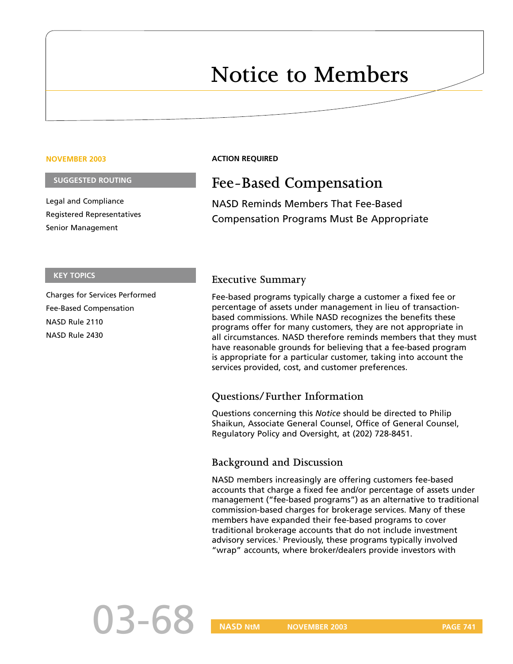# **Notice to Members**

#### **NOVEMBER 2003**

### **SUGGESTED ROUTING**

Legal and Compliance Registered Representatives Senior Management

## **ACTION REQUIRED**

# **Fee-Based Compensation**

NASD Reminds Members That Fee-Based Compensation Programs Must Be Appropriate

#### **KEY TOPICS**

Charges for Services Performed Fee-Based Compensation NASD Rule 2110 NASD Rule 2430

# **Executive Summary**

Fee-based programs typically charge a customer a fixed fee or percentage of assets under management in lieu of transactionbased commissions. While NASD recognizes the benefits these programs offer for many customers, they are not appropriate in all circumstances. NASD therefore reminds members that they must have reasonable grounds for believing that a fee-based program is appropriate for a particular customer, taking into account the services provided, cost, and customer preferences.

# **Questions/Further Information**

Questions concerning this *Notice* should be directed to Philip Shaikun, Associate General Counsel, Office of General Counsel, Regulatory Policy and Oversight, at (202) 728-8451.

# **Background and Discussion**

NASD members increasingly are offering customers fee-based accounts that charge a fixed fee and/or percentage of assets under management ("fee-based programs") as an alternative to traditional commission-based charges for brokerage services. Many of these members have expanded their fee-based programs to cover traditional brokerage accounts that do not include investment advisory services.<sup>1</sup> Previously, these programs typically involved "wrap" accounts, where broker/dealers provide investors with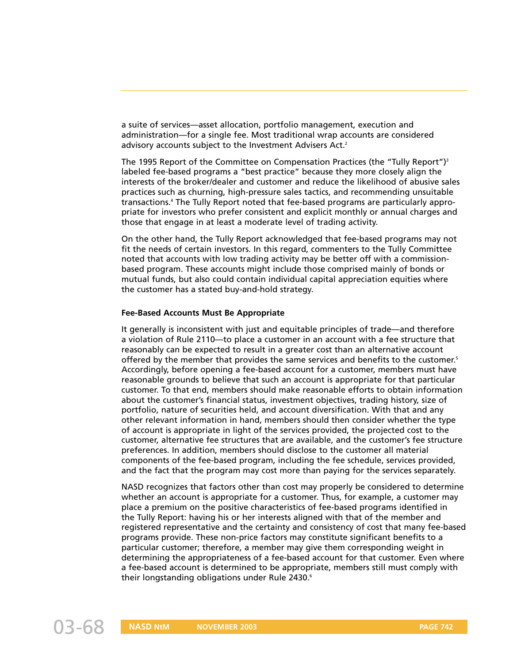a suite of services—asset allocation, portfolio management, execution and administration—for a single fee. Most traditional wrap accounts are considered advisory accounts subject to the Investment Advisers Act.<sup>2</sup>

The 1995 Report of the Committee on Compensation Practices (the "Tully Report") $3$ labeled fee-based programs a "best practice" because they more closely align the interests of the broker/dealer and customer and reduce the likelihood of abusive sales practices such as churning, high-pressure sales tactics, and recommending unsuitable transactions.4 The Tully Report noted that fee-based programs are particularly appropriate for investors who prefer consistent and explicit monthly or annual charges and those that engage in at least a moderate level of trading activity.

On the other hand, the Tully Report acknowledged that fee-based programs may not fit the needs of certain investors. In this regard, commenters to the Tully Committee noted that accounts with low trading activity may be better off with a commissionbased program. These accounts might include those comprised mainly of bonds or mutual funds, but also could contain individual capital appreciation equities where the customer has a stated buy-and-hold strategy.

### **Fee-Based Accounts Must Be Appropriate**

It generally is inconsistent with just and equitable principles of trade—and therefore a violation of Rule 2110—to place a customer in an account with a fee structure that reasonably can be expected to result in a greater cost than an alternative account offered by the member that provides the same services and benefits to the customer.<sup>5</sup> Accordingly, before opening a fee-based account for a customer, members must have reasonable grounds to believe that such an account is appropriate for that particular customer. To that end, members should make reasonable efforts to obtain information about the customer's financial status, investment objectives, trading history, size of portfolio, nature of securities held, and account diversification. With that and any other relevant information in hand, members should then consider whether the type of account is appropriate in light of the services provided, the projected cost to the customer, alternative fee structures that are available, and the customer's fee structure preferences. In addition, members should disclose to the customer all material components of the fee-based program, including the fee schedule, services provided, and the fact that the program may cost more than paying for the services separately.

NASD recognizes that factors other than cost may properly be considered to determine whether an account is appropriate for a customer. Thus, for example, a customer may place a premium on the positive characteristics of fee-based programs identified in the Tully Report: having his or her interests aligned with that of the member and registered representative and the certainty and consistency of cost that many fee-based programs provide. These non-price factors may constitute significant benefits to a particular customer; therefore, a member may give them corresponding weight in determining the appropriateness of a fee-based account for that customer. Even where a fee-based account is determined to be appropriate, members still must comply with their longstanding obligations under Rule 2430.<sup>6</sup>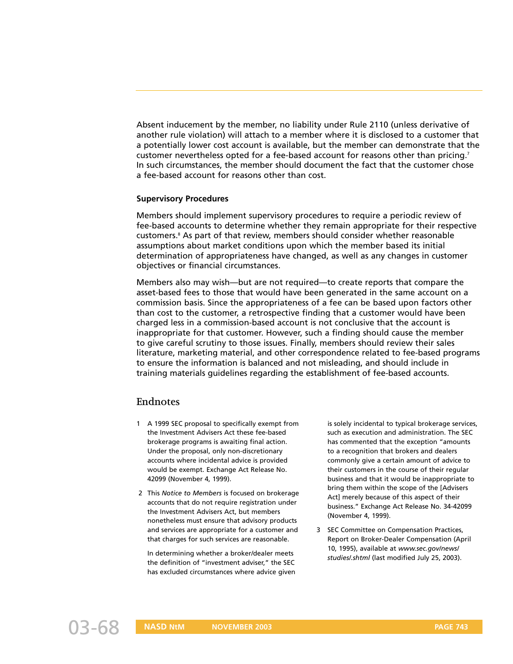Absent inducement by the member, no liability under Rule 2110 (unless derivative of another rule violation) will attach to a member where it is disclosed to a customer that a potentially lower cost account is available, but the member can demonstrate that the customer nevertheless opted for a fee-based account for reasons other than pricing.<sup>7</sup> In such circumstances, the member should document the fact that the customer chose a fee-based account for reasons other than cost.

### **Supervisory Procedures**

Members should implement supervisory procedures to require a periodic review of fee-based accounts to determine whether they remain appropriate for their respective customers.8 As part of that review, members should consider whether reasonable assumptions about market conditions upon which the member based its initial determination of appropriateness have changed, as well as any changes in customer objectives or financial circumstances.

Members also may wish—but are not required—to create reports that compare the asset-based fees to those that would have been generated in the same account on a commission basis. Since the appropriateness of a fee can be based upon factors other than cost to the customer, a retrospective finding that a customer would have been charged less in a commission-based account is not conclusive that the account is inappropriate for that customer. However, such a finding should cause the member to give careful scrutiny to those issues. Finally, members should review their sales literature, marketing material, and other correspondence related to fee-based programs to ensure the information is balanced and not misleading, and should include in training materials guidelines regarding the establishment of fee-based accounts.

# **Endnotes**

- 1 A 1999 SEC proposal to specifically exempt from the Investment Advisers Act these fee-based brokerage programs is awaiting final action. Under the proposal, only non-discretionary accounts where incidental advice is provided would be exempt. Exchange Act Release No. 42099 (November 4, 1999).
- 2 This *Notice to Members* is focused on brokerage accounts that do not require registration under the Investment Advisers Act, but members nonetheless must ensure that advisory products and services are appropriate for a customer and that charges for such services are reasonable.

In determining whether a broker/dealer meets the definition of "investment adviser," the SEC has excluded circumstances where advice given is solely incidental to typical brokerage services, such as execution and administration. The SEC has commented that the exception "amounts to a recognition that brokers and dealers commonly give a certain amount of advice to their customers in the course of their regular business and that it would be inappropriate to bring them within the scope of the [Advisers Act] merely because of this aspect of their business." Exchange Act Release No. 34-42099 (November 4, 1999).

3 SEC Committee on Compensation Practices, Report on Broker-Dealer Compensation (April 10, 1995), available at *www.sec.gov/news/ studies/.shtml* (last modified July 25, 2003).